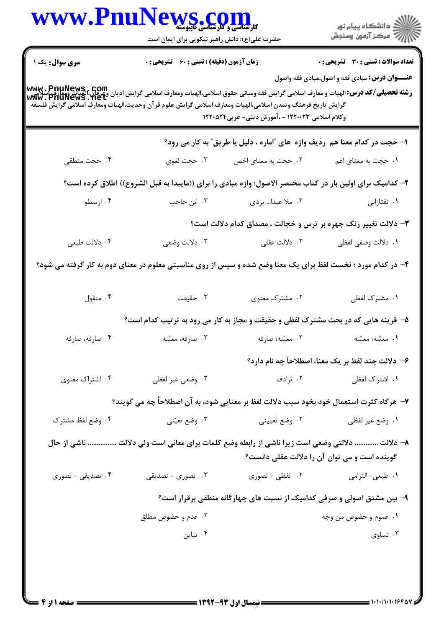|                                                                                                            | WWW.PnuNews.com<br>حضرت علی(ع): دانش راهبر نیکویی برای ایمان است                                                                                                                                                                                                       |                                                 | ِ<br>∭ دانشڪاه پيام نور<br>∭ مرڪز آزمون وسنڊش                               |  |  |
|------------------------------------------------------------------------------------------------------------|------------------------------------------------------------------------------------------------------------------------------------------------------------------------------------------------------------------------------------------------------------------------|-------------------------------------------------|-----------------------------------------------------------------------------|--|--|
| <b>سری سوال :</b> یک ۱                                                                                     | <b>زمان آزمون (دقیقه) : تستی : 60 ٪ تشریحی : 0</b>                                                                                                                                                                                                                     |                                                 | <b>تعداد سوالات : تستی : 30 ٪ تشریحی : 0</b>                                |  |  |
|                                                                                                            | www. PnuNews, com<br>سلامی این این این الله این اسلامی این اسلامی این اسلامی اسلامی الهیات ومعارف اسلامی گرایش ادیان ویرافی اسلامی<br>Www. PnuNews . net<br>گرايش تاريخ فرهنگ وتمدن اسلامى،الهيات ومعارف اسلامى گرايش علوم قرآن وحديث،الهيات ومعارف اسلامى گرايش فلسفه | وکلام اسلامی ۱۲۲۰۰۲۳ - ،آموزش دینی- عربی۱۲۲۰۵۲۴ | <b>عنـــوان درس:</b> مبادی فقه و اصول،مبادی فقه واصول                       |  |  |
|                                                                                                            |                                                                                                                                                                                                                                                                        |                                                 | ا- حجت در کدام معنا هم ردیف واژه  های "اماره ، دلیل یا طریق" به کار می رود؟ |  |  |
| ۰۴ حجت منطقى                                                                                               | ۰۳ حجت لغوي                                                                                                                                                                                                                                                            | ۰۲ حجت به معنای اخص                             | ۰۱ حجت به معنای اعم                                                         |  |  |
| ۲– کدامیک برای اولین بار در کتاب مختصر الاصول؛ واژه مبادی را برای ((مایبدا به قبل الشروع)) اطلاق کرده است؟ |                                                                                                                                                                                                                                                                        |                                                 |                                                                             |  |  |
| ۰۴ ارسطو                                                                                                   | ۰۳ ابن حاجب                                                                                                                                                                                                                                                            | ۰۲ ملا عبدا… یزدی                               | ۰۱ تفتازانی                                                                 |  |  |
| ۳- دلالت تغییر رنگ چهره بر ترس و خجالت ، مصداق کدام دلالت است؟                                             |                                                                                                                                                                                                                                                                        |                                                 |                                                                             |  |  |
| ۰۴ دلالت طبعي                                                                                              | ۰۳ دلالت وضعي                                                                                                                                                                                                                                                          | ۰۲ دلالت عقلی                                   | ٠١. دلالت وصفى لفظى                                                         |  |  |
|                                                                                                            | ۴– در کدام مورد ؛ نخست لفظ برای یک معنا وضع شده و سپس از روی مناسبتی معلوم در معنای دوم به کار گرفته می شود؟                                                                                                                                                           |                                                 |                                                                             |  |  |
| ۰۴ منقول                                                                                                   | ۰۳ حقیقت                                                                                                                                                                                                                                                               | ۰۲ مشترک معنوی                                  | ۰۱ مشترک لفظی                                                               |  |  |
|                                                                                                            | ۵- قرینه هایی که در بحث مشترک لفظی و حقیقت و مجاز به کار می رود به ترتیب کدام است؟                                                                                                                                                                                     |                                                 |                                                                             |  |  |
| ۰۴ صارفه، صارفه                                                                                            | ۰۳ صارفه، معيّنه                                                                                                                                                                                                                                                       | ٠٢ معيّنه؛ صارفه                                | ٠١. معيّنه؛ معيّنه                                                          |  |  |
|                                                                                                            |                                                                                                                                                                                                                                                                        |                                                 | ۶– دلالت چند لفظ بر یک معنا، اصطلاحاً چه نام دارد؟                          |  |  |
| ۰۴ اشتراک معنوی                                                                                            | ۰۳ وضعی غیر لفظی                                                                                                                                                                                                                                                       | ۰۲ ترادف                                        | ۰۱ اشتراک لفظی                                                              |  |  |
|                                                                                                            | ٧- هرگاه کثرت استعمال خود بخود سبب دلالت لفظ بر معنایی شود، به آن اصطلاحاً چه می گویند؟                                                                                                                                                                                |                                                 |                                                                             |  |  |
| ۰۴ وضع لفظ مشترک                                                                                           | ۰۳ وضع تعیّنی                                                                                                                                                                                                                                                          | ۰۲ وضع تعييني                                   | ٠١. وضع غير لفظي                                                            |  |  |
|                                                                                                            | ۸– دلالت  دلالتی وضعی است زیرا ناشی از رابطه وضع کلمات برای معانی است ولی دلالت  ناشی از حال                                                                                                                                                                           |                                                 | گوینده است و می توان آن را دلالت عقلی دانست؟                                |  |  |
| ۰۴ تصدیقی - تصوری                                                                                          | ۰۳ تصوری - تصدیقی                                                                                                                                                                                                                                                      | ۰۲ لفظی – تصوری                                 | ۰۱ طبعی- التزامی                                                            |  |  |
|                                                                                                            |                                                                                                                                                                                                                                                                        |                                                 | ۹- بین مشتق اصولی و صرفی کدامیک از نسبت های چهارگانه منطقی برقرار است؟      |  |  |
|                                                                                                            | ۰۲ عدم و حضوص مطلق                                                                                                                                                                                                                                                     |                                                 | ۰۱ عموم و حضوص من وجه                                                       |  |  |
|                                                                                                            | ۰۴ تباین                                                                                                                                                                                                                                                               |                                                 | ۰۳ تساوي                                                                    |  |  |
|                                                                                                            |                                                                                                                                                                                                                                                                        |                                                 |                                                                             |  |  |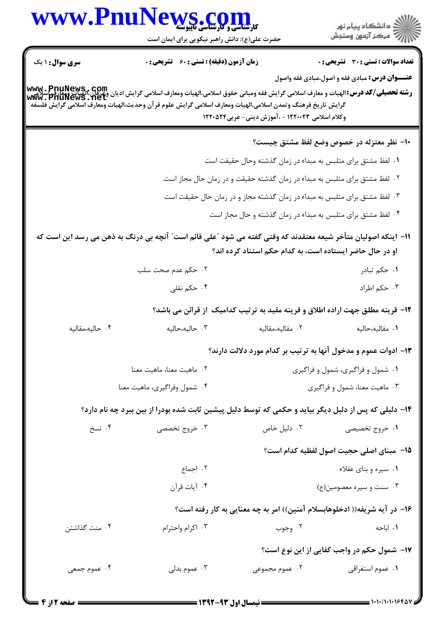| www.Pnu                                                                                                                                                                                                                                                                                                                                                                                                            | ال کارشناسی و کارشناسی تاپیوسته<br>حضرت علی(ع): دانش راهبر نیکویی برای ایمان است                              |                                                                             | ≦ دانشڪاه پيام نور<br>√ مرڪز آزمون وسنڊش                                       |  |  |  |
|--------------------------------------------------------------------------------------------------------------------------------------------------------------------------------------------------------------------------------------------------------------------------------------------------------------------------------------------------------------------------------------------------------------------|---------------------------------------------------------------------------------------------------------------|-----------------------------------------------------------------------------|--------------------------------------------------------------------------------|--|--|--|
| <b>سری سوال : ۱ یک</b>                                                                                                                                                                                                                                                                                                                                                                                             | <b>زمان آزمون (دقیقه) : تستی : 60 ٪ تشریحی : 0</b>                                                            |                                                                             | تعداد سوالات : تستى : 30 ٪ تشريحي : 0                                          |  |  |  |
| <b>عنـــوان درس:</b> مبادی فقه و اصول،مبادی فقه واصول<br><b>www . PnuNews , com</b><br><b>رشته تحصیلی/کد درس:</b> الهیات و معارف اسلامی گرایش فقه ومبانی حقوق اسلامی،الهیات ومعارف اسلامی گرایش ادیان وعرفان،الهیات ویعارف<br>WWW . PNUNeWS . Let<br>گرايش تاريخ فرهنگ وتمدن اسلامي،الهيات ومعارف اسلامي گرايش علوم قرآن وحديث،الهيات ومعارف اسلامي گرايش فلسفه<br>وکلام اسلامی ۱۲۲۰۰۲۳ - ،آموزش دینی- عربی۱۲۲۰۵۲۴ |                                                                                                               |                                                                             |                                                                                |  |  |  |
|                                                                                                                                                                                                                                                                                                                                                                                                                    |                                                                                                               |                                                                             | ∙ا− نظر معتزله در خصوص وضع لفظ مشتق چیست؟                                      |  |  |  |
|                                                                                                                                                                                                                                                                                                                                                                                                                    |                                                                                                               | ۰۱ لفظ مشتق برای متلبس به مبداء در زمان گذشته وحال حقیقت است                |                                                                                |  |  |  |
|                                                                                                                                                                                                                                                                                                                                                                                                                    |                                                                                                               | ۰۲ لفظ مشتق برای متلبس به مبداء در زمان گذشته حقیقت و در زمان حال مجاز است. |                                                                                |  |  |  |
|                                                                                                                                                                                                                                                                                                                                                                                                                    |                                                                                                               | ۰۳ لفظ مشتق برای متلبس به مبداء در زمان گذشته مجاز و در زمان حال حقیقت است  |                                                                                |  |  |  |
|                                                                                                                                                                                                                                                                                                                                                                                                                    |                                                                                                               | ۰۴ لفظ مشتق برای متلبس به مبداء در زمان گذشته و حال مجاز است                |                                                                                |  |  |  |
|                                                                                                                                                                                                                                                                                                                                                                                                                    | 11– اینکه اصولیان متأخر شیعه معتقدند که وقتی گفته می شود ″علی قائم است″ آنچه بی درنگ به ذهن می رسد این است که | او در حال حاضر ایستاده است، به کدام حکم استناد کرده اند؟                    |                                                                                |  |  |  |
|                                                                                                                                                                                                                                                                                                                                                                                                                    | ۰۲ حکم عدم صحت سلب                                                                                            |                                                                             | ۰۱ حکم تبادر                                                                   |  |  |  |
|                                                                                                                                                                                                                                                                                                                                                                                                                    | ۰۴ حکم نقلی                                                                                                   |                                                                             | ۰۳ حکم اطراد                                                                   |  |  |  |
|                                                                                                                                                                                                                                                                                                                                                                                                                    |                                                                                                               |                                                                             | ۱۲- قرینه مطلق جهت اراده اطلاق و قرینه مقید به ترتیب کدامیک  از قرائن می باشد؟ |  |  |  |
| ۰۴ حاليه،مقاليه                                                                                                                                                                                                                                                                                                                                                                                                    | ۰۳ حالیه،حالیه                                                                                                | ۰۲ مقالیه،مقالیه                                                            | ٠١. مقاليه،حاليه                                                               |  |  |  |
|                                                                                                                                                                                                                                                                                                                                                                                                                    |                                                                                                               |                                                                             | ۱۳- ادوات عموم و مدخول آنها به ترتیب بر کدام مورد دلالت دارند؟                 |  |  |  |
|                                                                                                                                                                                                                                                                                                                                                                                                                    | ٠٢ ماهيت معنا، ماهيت معنا                                                                                     |                                                                             | ۰۱ شمول و فراگیری، شمول و فراگیری                                              |  |  |  |
|                                                                                                                                                                                                                                                                                                                                                                                                                    | ۰۴ شمول وفراگیری، ماهیت معنا                                                                                  |                                                                             | ۰۳ ماهيت معنا، شمول و فراگيري                                                  |  |  |  |
|                                                                                                                                                                                                                                                                                                                                                                                                                    | ۱۴– دلیلی که پس از دلیل دیگر بیاید و حکمی که توسط دلیل پیشین ثابت شده بودرا از بین ببرد چه نام دارد؟          |                                                                             |                                                                                |  |  |  |
| ۰۴ نسخ                                                                                                                                                                                                                                                                                                                                                                                                             | ۰۳ خروج تخصصی                                                                                                 | ۰۲ دلیل خاص                                                                 | ۱. خروج تخصیصی                                                                 |  |  |  |
|                                                                                                                                                                                                                                                                                                                                                                                                                    |                                                                                                               |                                                                             | 14– مبنای اصلی حجیت اصول لفظیه کدام است؟                                       |  |  |  |
|                                                                                                                                                                                                                                                                                                                                                                                                                    | ۰۲ اجماع                                                                                                      |                                                                             | ۰۱ سیره و بنای عقلاء                                                           |  |  |  |
|                                                                                                                                                                                                                                                                                                                                                                                                                    | ۰۴ آيات قرآن                                                                                                  |                                                                             | ۰۳ سنت و سیره معصومین(ع)                                                       |  |  |  |
|                                                                                                                                                                                                                                                                                                                                                                                                                    |                                                                                                               |                                                                             | ۱۶– در آیه شریفه(( ادخلوهابسلام آمنین)) امر به چه معنایی به کار رفته است؟      |  |  |  |
| ۰۴ منت گذاشتن                                                                                                                                                                                                                                                                                                                                                                                                      | ۰۳ اکرام واحترام                                                                                              | ۰۲ وجوب                                                                     | ۰۱ اباحه                                                                       |  |  |  |
|                                                                                                                                                                                                                                                                                                                                                                                                                    |                                                                                                               |                                                                             | <b>۱۷-</b> شمول حکم در واجب کفایی از این نوع است؟                              |  |  |  |
| ۰۴ عموم جمعی                                                                                                                                                                                                                                                                                                                                                                                                       | ۰۳ عموم بدلی                                                                                                  | ۰۲ عموم مجموعی                                                              | ٠١. عموم استغراقي                                                              |  |  |  |
|                                                                                                                                                                                                                                                                                                                                                                                                                    |                                                                                                               |                                                                             |                                                                                |  |  |  |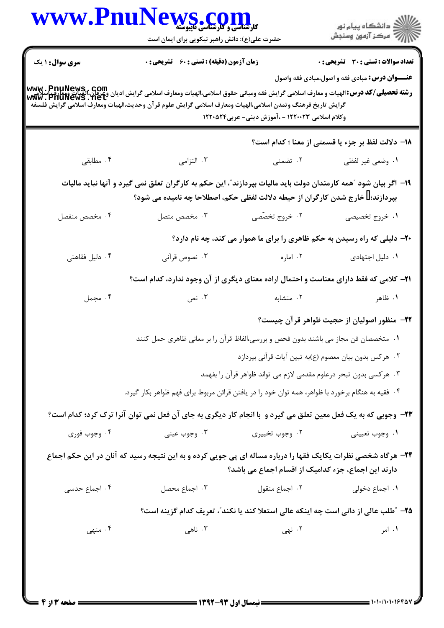|                        | $N$ S $_{\bullet}$ C $_{\bullet}$ Q $_{\bullet}$ ) $_{\bullet}$<br>حضرت علی(ع): دانش راهبر نیکویی برای ایمان است                                                                                  |                                                                                    | ِ<br>∭ دانشڪاه پيام نور<br>∭ مرڪز آزمون وسنڊش         |
|------------------------|---------------------------------------------------------------------------------------------------------------------------------------------------------------------------------------------------|------------------------------------------------------------------------------------|-------------------------------------------------------|
| <b>سری سوال : ۱ یک</b> | <b>زمان آزمون (دقیقه) : تستی : 60 ٪ تشریحی : 0</b>                                                                                                                                                |                                                                                    | تعداد سوالات : تستى : 30 ٪ تشريحي : 0                 |
|                        | گرايش تاريخ فرهنگ وتمدن اسلامي،الهيات ومعارف اسلامي گرايش علوم قرآن وحديث،الهيات ومعارف اسلامي گرايش فلسفه                                                                                        | وکلام اسلامی ۱۲۲۰۰۲۳ - ،آموزش دینی- عربی۱۲۲۰۵۲۴                                    | <b>عنـــوان درس:</b> مبادی فقه و اصول،مبادی فقه واصول |
|                        |                                                                                                                                                                                                   |                                                                                    | 18- دلالت لفظ بر جزء يا قسمتي از معنا ؛ كدام است؟     |
| ۰۴ مطابقی              | ۰۳ التزامی                                                                                                                                                                                        | ۲. تضمنی                                                                           | ٠١ وضعي غير لفظي                                      |
|                        | ۱۹– اگر بیان شود "همه کارمندان دولت باید مالیات بپردازند"، این حکم به کارگران تعلق نمی گیرد و آنها نباید مالیات<br>بپردازند؛ ۖ خارج شدن کارگران از حیطه دلالت لفظی حکم، اصطلاحا چه نامیده می شود؟ |                                                                                    |                                                       |
| ۰۴ مخصص منفصل          | ۰۳ مخصص متصل                                                                                                                                                                                      | ۰۲ خروج تخصّصی                                                                     | ۰۱ خروج تخصیصی                                        |
|                        |                                                                                                                                                                                                   | +۲- دلیلی که راه رسیدن به حکم ظاهری را برای ما هموار می کند، چه نام دارد؟          |                                                       |
| ۰۴ دلیل فقاهتی         | ۰۳ نصوص قرآني                                                                                                                                                                                     | ۰۲ اماره                                                                           | ۰۱ دلیل اجتهادی                                       |
|                        | <b>۲۱</b> – کلامی که فقط دارای معناست و احتمال اراده معنای دیگری از آن وجود ندارد، کدام است؟                                                                                                      |                                                                                    |                                                       |
| ۰۴ مجمل                | ۰۳ نص                                                                                                                                                                                             | ۰۲ متشابه                                                                          | ۰۱ ظاهر                                               |
|                        |                                                                                                                                                                                                   |                                                                                    | ۲۲- منظور اصولیان از حجیت ظواهر قرآن چیست؟            |
|                        | ۰۱ متخصصان فن مجاز می باشند بدون فحص و بررسی،الفاظ قرآن را بر معانی ظاهری حمل کنند                                                                                                                |                                                                                    |                                                       |
|                        |                                                                                                                                                                                                   | ۰۲ هرکس بدون بیان معصوم (ع)به تبین آیات قرآنی بپردازد                              |                                                       |
|                        |                                                                                                                                                                                                   | ۰۳ هر کسی بدون تبحر درعلوم مقدمی لازم می تواند ظواهر قرآن را بفهمد                 |                                                       |
|                        | ۰۴ فقیه به هنگام برخورد با ظواهر، همه توان خود را در یافتن قرائن مربوط برای فهم ظواهر بکار گیرد.                                                                                                  |                                                                                    |                                                       |
|                        | ۲۳- وجوبی که به یک فعل معین تعلق می گیرد و با انجام کار دیگری به جای آن فعل نمی توان آنرا ترک کرد؛ کدام است؟                                                                                      |                                                                                    |                                                       |
| ۰۴ وجوب فوري           | ۰۳ وجوب عيني                                                                                                                                                                                      | ۰۲ وجوب تخييري                                                                     | ۰۱ وجوب تعييني                                        |
|                        | ۲۴- هرگاه شخصی نظرات یکایک فقها را درباره مساله ای پی جویی کرده و به این نتیجه رسید که آنان در این حکم اجماع                                                                                      | دارند این اجماع، جزء کدامیک از اقسام اجماع می باشد؟                                |                                                       |
| ۰۴ اجماع حدسی          | ۰۳ اجماع محصل                                                                                                                                                                                     | ۰۲ اجماع منقول                                                                     | ۰۱ اجماع دخول <sub>ی</sub>                            |
|                        |                                                                                                                                                                                                   | ۲۵– "طلب عالی از دانی است چه اینکه عالی استعلا کند یا نکند"، تعریف کدام گزینه است؟ |                                                       |
|                        |                                                                                                                                                                                                   | ۰۲ نهی                                                                             | ۰۱ امر                                                |